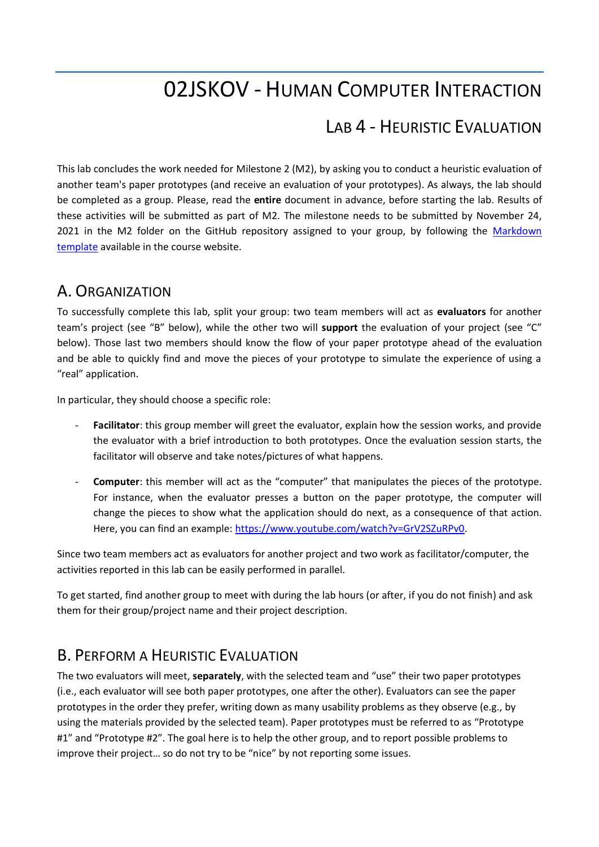# 02JSKOV - HUMAN COMPUTER INTERACTION

## LAB 4 - HEURISTIC EVALUATION

This lab concludes the work needed for Milestone 2 (M2), by asking you to conduct a heuristic evaluation of another team's paper prototypes (and receive an evaluation of your prototypes). As always, the lab should be completed as a group. Please, read the **entire** document in advance, before starting the lab. Results of these activities will be submitted as part of M2. The milestone needs to be submitted by November 24, 2021 in the M2 folder on the GitHub repository assigned to your group, by following the Markdown [template](https://elite.polito.it/files/courses/02JSKOV/2021/milestones/milestone2.md) available in the course website.

#### A. ORGANIZATION

To successfully complete this lab, split your group: two team members will act as **evaluators** for another team's project (see "B" below), while the other two will **support** the evaluation of your project (see "C" below). Those last two members should know the flow of your paper prototype ahead of the evaluation and be able to quickly find and move the pieces of your prototype to simulate the experience of using a "real" application.

In particular, they should choose a specific role:

- **Facilitator**: this group member will greet the evaluator, explain how the session works, and provide the evaluator with a brief introduction to both prototypes. Once the evaluation session starts, the facilitator will observe and take notes/pictures of what happens.
- **Computer**: this member will act as the "computer" that manipulates the pieces of the prototype. For instance, when the evaluator presses a button on the paper prototype, the computer will change the pieces to show what the application should do next, as a consequence of that action. Here, you can find an example: [https://www.youtube.com/watch?v=GrV2SZuRPv0.](https://www.youtube.com/watch?v=GrV2SZuRPv0)

Since two team members act as evaluators for another project and two work as facilitator/computer, the activities reported in this lab can be easily performed in parallel.

To get started, find another group to meet with during the lab hours (or after, if you do not finish) and ask them for their group/project name and their project description.

#### B. PERFORM A HEURISTIC EVALUATION

The two evaluators will meet, **separately**, with the selected team and "use" their two paper prototypes (i.e., each evaluator will see both paper prototypes, one after the other). Evaluators can see the paper prototypes in the order they prefer, writing down as many usability problems as they observe (e.g., by using the materials provided by the selected team). Paper prototypes must be referred to as "Prototype #1" and "Prototype #2". The goal here is to help the other group, and to report possible problems to improve their project… so do not try to be "nice" by not reporting some issues.